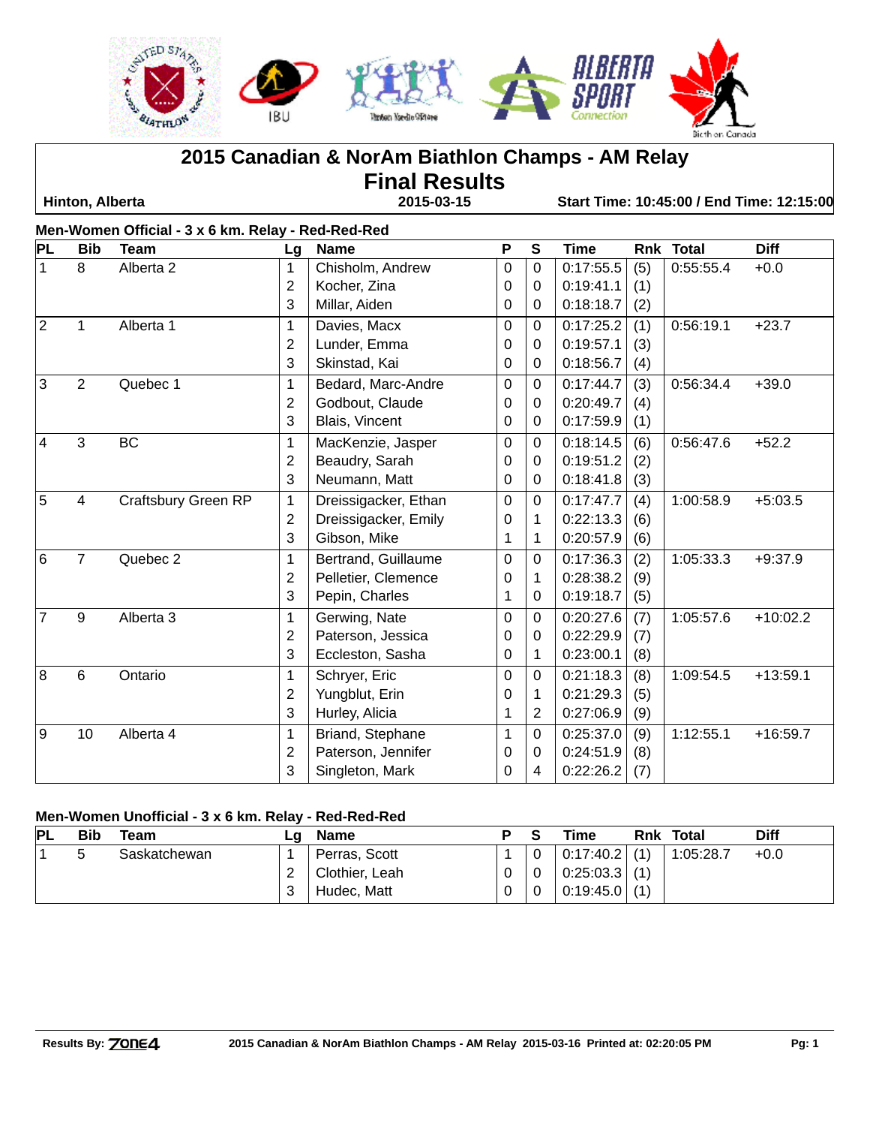

**2015 Canadian & NorAm Biathlon Champs - AM Relay**

**Final Results**

 **Hinton, Alberta 2015-03-15 Start Time: 10:45:00 / End Time: 12:15:00**

|                 | Men-Women Official - 3 x 6 km. Relay - Red-Red-Red |                      |                |                      |   |              |             |     |           |             |  |
|-----------------|----------------------------------------------------|----------------------|----------------|----------------------|---|--------------|-------------|-----|-----------|-------------|--|
| PL              | <b>Bib</b>                                         | <b>Team</b>          | Lg             | <b>Name</b>          | P | $\mathbf{s}$ | <b>Time</b> |     | Rnk Total | <b>Diff</b> |  |
| $\mathbf{1}$    | 8                                                  | Alberta <sub>2</sub> | 1              | Chisholm, Andrew     | 0 | $\mathbf 0$  | 0:17:55.5   | (5) | 0:55:55.4 | $+0.0$      |  |
|                 |                                                    |                      | $\overline{2}$ | Kocher, Zina         | 0 | 0            | 0:19:41.1   | (1) |           |             |  |
|                 |                                                    |                      | 3              | Millar, Aiden        | 0 | $\Omega$     | 0:18:18.7   | (2) |           |             |  |
| 2               | $\mathbf{1}$                                       | Alberta 1            | $\mathbf{1}$   | Davies, Macx         | 0 | $\Omega$     | 0:17:25.2   | (1) | 0:56:19.1 | $+23.7$     |  |
|                 |                                                    |                      | $\overline{2}$ | Lunder, Emma         | 0 | $\Omega$     | 0:19:57.1   | (3) |           |             |  |
|                 |                                                    |                      | 3              | Skinstad, Kai        | 0 | $\Omega$     | 0:18:56.7   | (4) |           |             |  |
| $\overline{3}$  | 2                                                  | Quebec 1             | 1              | Bedard, Marc-Andre   | 0 | $\Omega$     | 0:17:44.7   | (3) | 0:56:34.4 | $+39.0$     |  |
|                 |                                                    |                      | 2              | Godbout, Claude      | 0 | 0            | 0:20:49.7   | (4) |           |             |  |
|                 |                                                    |                      | 3              | Blais, Vincent       | 0 | 0            | 0:17:59.9   | (1) |           |             |  |
| $\overline{4}$  | 3                                                  | <b>BC</b>            | 1              | MacKenzie, Jasper    | 0 | $\Omega$     | 0:18:14.5   | (6) | 0:56:47.6 | $+52.2$     |  |
|                 |                                                    |                      | $\overline{2}$ | Beaudry, Sarah       | 0 | $\Omega$     | 0:19:51.2   | (2) |           |             |  |
|                 |                                                    |                      | 3              | Neumann, Matt        | 0 | 0            | 0:18:41.8   | (3) |           |             |  |
| 5               | $\overline{4}$                                     | Craftsbury Green RP  | 1              | Dreissigacker, Ethan | 0 | 0            | 0:17:47.7   | (4) | 1:00:58.9 | $+5:03.5$   |  |
|                 |                                                    |                      | 2              | Dreissigacker, Emily | 0 | 1            | 0:22:13.3   | (6) |           |             |  |
|                 |                                                    |                      | 3              | Gibson, Mike         | 1 | 1            | 0:20:57.9   | (6) |           |             |  |
| $6\overline{6}$ | $\overline{7}$                                     | Quebec 2             | $\mathbf 1$    | Bertrand, Guillaume  | 0 | 0            | 0:17:36.3   | (2) | 1:05:33.3 | $+9:37.9$   |  |
|                 |                                                    |                      | 2              | Pelletier, Clemence  | 0 | 1            | 0:28:38.2   | (9) |           |             |  |
|                 |                                                    |                      | 3              | Pepin, Charles       | 1 | $\Omega$     | 0:19:18.7   | (5) |           |             |  |
| $\overline{7}$  | 9                                                  | Alberta <sub>3</sub> | 1              | Gerwing, Nate        | 0 | $\Omega$     | 0:20:27.6   | (7) | 1:05:57.6 | $+10:02.2$  |  |
|                 |                                                    |                      | $\overline{2}$ | Paterson, Jessica    | 0 | $\Omega$     | 0:22:29.9   | (7) |           |             |  |
|                 |                                                    |                      | 3              | Eccleston, Sasha     | 0 | $\mathbf 1$  | 0:23:00.1   | (8) |           |             |  |
| 8               | 6                                                  | Ontario              | 1              | Schryer, Eric        | 0 | $\Omega$     | 0:21:18.3   | (8) | 1:09:54.5 | $+13:59.1$  |  |
|                 |                                                    |                      | $\overline{2}$ | Yungblut, Erin       | 0 | 1            | 0:21:29.3   | (5) |           |             |  |
|                 |                                                    |                      | 3              | Hurley, Alicia       | 1 | 2            | 0:27:06.9   | (9) |           |             |  |
| 9               | 10                                                 | Alberta 4            | 1              | Briand, Stephane     | 1 | $\Omega$     | 0:25:37.0   | (9) | 1:12:55.1 | $+16:59.7$  |  |
|                 |                                                    |                      | 2              | Paterson, Jennifer   | 0 | 0            | 0:24:51.9   | (8) |           |             |  |
|                 |                                                    |                      | 3              | Singleton, Mark      | 0 | 4            | 0:22:26.2   | (7) |           |             |  |

### **Men-Women Unofficial - 3 x 6 km. Relay - Red-Red-Red**

| PL | <b>Bib</b> | Team         | ∟a | <b>Name</b>    |   | Time            | Rnk | Total     | Diff   |
|----|------------|--------------|----|----------------|---|-----------------|-----|-----------|--------|
|    | ∽<br>ບ     | Saskatchewan |    | Perras, Scott  |   | $0:17:40.2$ (1) |     | 1:05:28.7 | $+0.0$ |
|    |            |              |    | Clothier, Leah | 0 | $0:25:03.3$ (1) |     |           |        |
|    |            |              |    | Hudec, Matt    | 0 | $0:19:45.0$ (1) |     |           |        |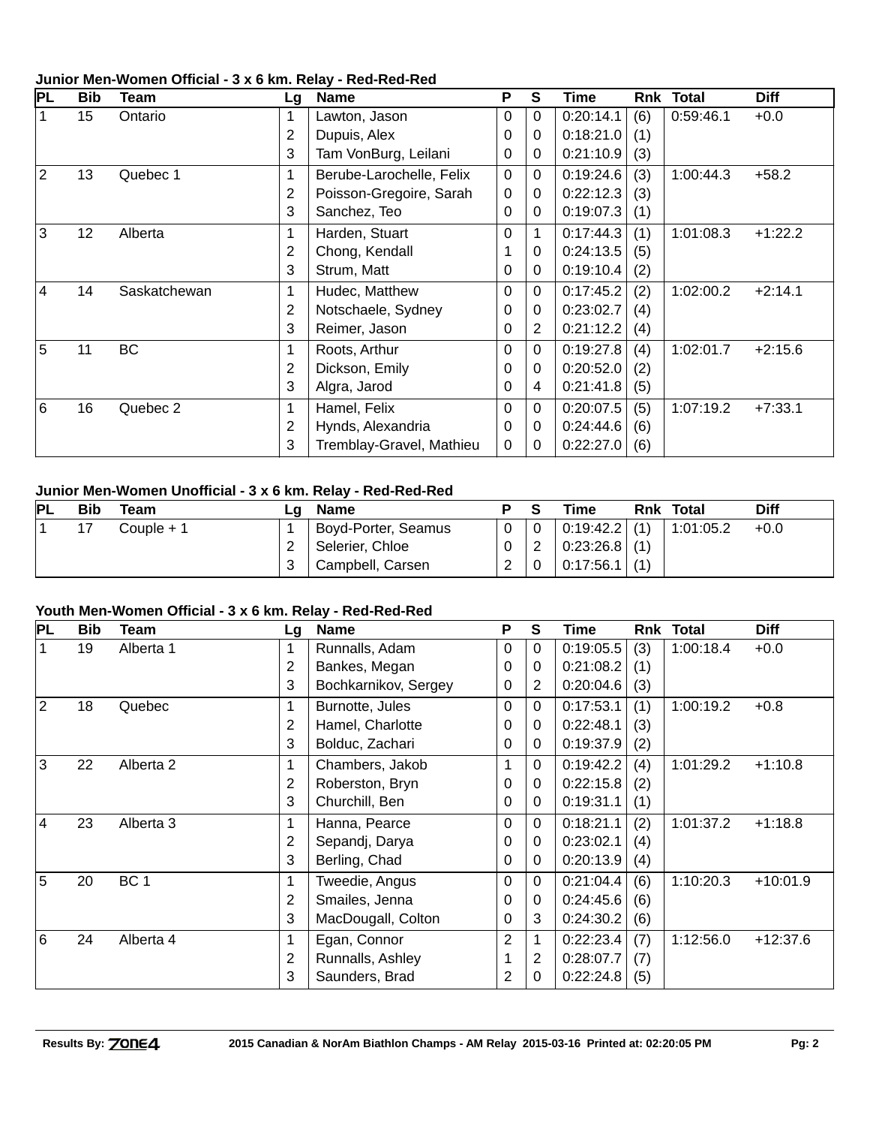# **PL Bib Team Lg Name P S Time Rnk Total Diff** 1 15 Ontario 1 Lawton, Jason 0 0 0:20:14.1 (6) 0:59:46.1 +0.0 2 | Dupuis, Alex  $\begin{bmatrix} 0 & 0 & 0.18:21.0 \\ 0 & 0.18:21.0 & 1 \end{bmatrix}$ 3 | Tam VonBurg, Leilani |  $\begin{vmatrix} 0 & 0 \\ 0 & 0 \end{vmatrix}$  0:21:10.9 (3) 2 13 Quebec 1 | 1 | Berube-Larochelle, Felix | 0 | 0 | 0:19:24.6 | (3) | 1:00:44.3 +58.2 2 | Poisson-Gregoire, Sarah |  $0$  |  $0$  | 0:22:12.3 (3) 3 Sanchez, Teo 0 0 0:19:07.3 (1) 3 12 Alberta 1 Harden, Stuart 0 1 0:17:44.3 (1) 1:01:08.3 +1:22.2 2 Chong, Kendall 1 0 0:24:13.5 (5) 3 Strum, Matt  $\begin{bmatrix} 0 & 0 & 0.19:10.4 & (2) \end{bmatrix}$ 4 14 Saskatchewan 1 Hudec, Matthew 0 0 0:17:45.2 (2) 1:02:00.2 +2:14.1 2 Notschaele, Sydney 0 0 0:23:02.7 (4) 3 | Reimer, Jason  $\begin{array}{|c|c|c|c|c|c|c|c|} \hline 3 & 0.21112.2 & (4) \hline \end{array}$ 5 11 BC 1 | Roots, Arthur 1 0 0 0:19:27.8 (4) 1:02:01.7 +2:15.6 2 | Dickson, Emily  $\begin{array}{|c|c|c|c|c|c|c|c|} \hline 2 & 0 & 0 & 0:20:52.0 & (2) \ \hline \end{array}$ 3 | Algra, Jarod  $\begin{array}{|c|c|c|c|c|c|c|c|c|} \hline 3 & 4 & 0:21:41.8 & (5) \ \hline \end{array}$ 6 16 Quebec 2 1 Hamel, Felix 0 0 0:20:07.5 (5) 1:07:19.2 +7:33.1 2 Hynds, Alexandria 0 0 0:24:44.6 (6) 3 | Tremblay-Gravel, Mathieu  $\begin{vmatrix} 0 & 0 \end{vmatrix}$  0:22:27.0 (6)

#### **Junior Men-Women Official - 3 x 6 km. Relay - Red-Red-Red**

#### **Junior Men-Women Unofficial - 3 x 6 km. Relay - Red-Red-Red**

| PL | Bib | Team       | ∟a ⊦ | <b>Name</b>         |          | Time                 | <b>Rnk Total</b> | Diff   |
|----|-----|------------|------|---------------------|----------|----------------------|------------------|--------|
|    |     | Couple + 1 |      | Boyd-Porter, Seamus | $\Omega$ | $\mid$ 0:19:42.2 (1) | 1:01:05.2        | $+0.0$ |
|    |     |            |      | Selerier, Chloe     | 0        | $0:23:26.8$ (1)      |                  |        |
|    |     |            |      | Campbell, Carsen    | っ        | $0:17:56.1$ (1)      |                  |        |

#### **Youth Men-Women Official - 3 x 6 km. Relay - Red-Red-Red**

| PL             | <b>Bib</b> | Team                 | Lg | <b>Name</b>          | P        | S              | Time      | Rnk | <b>Total</b> | <b>Diff</b> |
|----------------|------------|----------------------|----|----------------------|----------|----------------|-----------|-----|--------------|-------------|
|                | 19         | Alberta 1            | 1  | Runnalls, Adam       | 0        | 0              | 0:19:05.5 | (3) | 1:00:18.4    | $+0.0$      |
|                |            |                      | 2  | Bankes, Megan        | 0        | 0              | 0:21:08.2 | (1) |              |             |
|                |            |                      | 3  | Bochkarnikov, Sergey | 0        | $\overline{2}$ | 0:20:04.6 | (3) |              |             |
| 2              | 18         | Quebec               |    | Burnotte, Jules      | 0        | $\Omega$       | 0:17:53.1 | (1) | 1:00:19.2    | $+0.8$      |
|                |            |                      | 2  | Hamel, Charlotte     | 0        | 0              | 0:22:48.1 | (3) |              |             |
|                |            |                      | 3  | Bolduc, Zachari      | 0        | 0              | 0:19:37.9 | (2) |              |             |
| l3             | 22         | Alberta 2            | 1  | Chambers, Jakob      |          | $\Omega$       | 0:19:42.2 | (4) | 1:01:29.2    | $+1:10.8$   |
|                |            |                      | 2  | Roberston, Bryn      | 0        | 0              | 0:22:15.8 | (2) |              |             |
|                |            |                      | 3  | Churchill, Ben       | 0        | 0              | 0:19:31.1 | (1) |              |             |
| $\overline{4}$ | 23         | Alberta <sub>3</sub> | 1  | Hanna, Pearce        | $\Omega$ | 0              | 0:18:21.1 | (2) | 1:01:37.2    | $+1:18.8$   |
|                |            |                      | 2  | Sepandj, Darya       | 0        | 0              | 0:23:02.1 | (4) |              |             |
|                |            |                      | 3  | Berling, Chad        | 0        | 0              | 0:20:13.9 | (4) |              |             |
| 15             | 20         | BC <sub>1</sub>      | 1  | Tweedie, Angus       | 0        | $\Omega$       | 0:21:04.4 | (6) | 1:10:20.3    | $+10:01.9$  |
|                |            |                      | 2  | Smailes, Jenna       | 0        | 0              | 0:24:45.6 | (6) |              |             |
|                |            |                      | 3  | MacDougall, Colton   | 0        | 3              | 0:24:30.2 | (6) |              |             |
| 16             | 24         | Alberta 4            | 1  | Egan, Connor         | 2        |                | 0:22:23.4 | (7) | 1:12:56.0    | $+12:37.6$  |
|                |            |                      | 2  | Runnalls, Ashley     |          | 2              | 0:28:07.7 | (7) |              |             |
|                |            |                      | 3  | Saunders, Brad       | 2        | 0              | 0:22:24.8 | (5) |              |             |